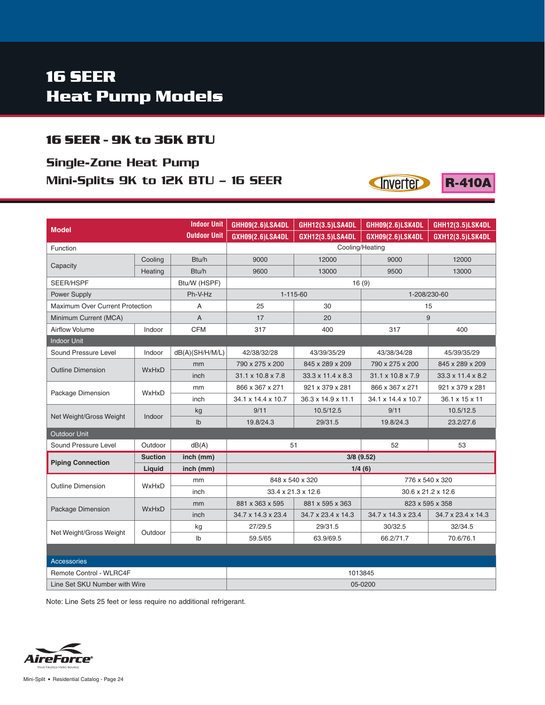## **16 SEER Heat Pump Models**

#### **16 SEER - 9K to 36K BTU**

## Single-Zone Heat Pump Mini-Splits 9K to 12K BTU – 16 SEER



**Inverter** 

**R-410A** 

Note: Line Sets 25 feet or less require no additional refrigerant.